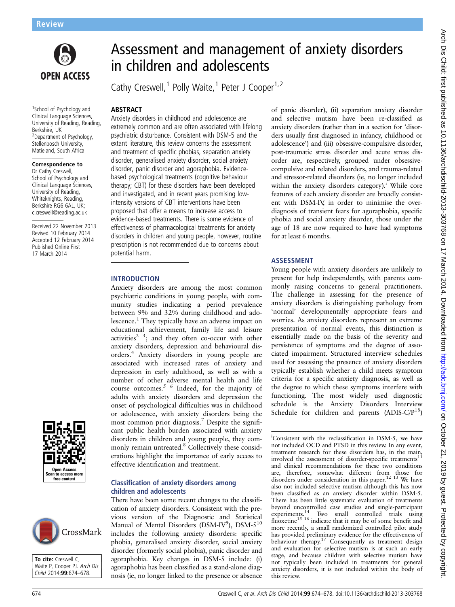

<sup>1</sup>School of Psychology and Clinical Language Sciences, University of Reading, Reading, Berkshire, UK 2 Department of Psychology, Stellenbosch University, Matieland, South Africa

## Correspondence to

Dr Cathy Creswell, School of Psychology and Clinical Language Sciences, University of Reading, Whiteknights, Reading, Berkshire RG6 6AL, UK; c.creswell@reading.ac.uk

Received 22 November 2013 Revised 10 February 2014 Accepted 12 February 2014 Published Online First 17 March 2014





To cite: Creswell C, Waite P, Cooper PJ. Arch Dis Child 2014;99:674–678.

# Assessment and management of anxiety disorders in children and adolescents

Cathy Creswell,<sup>1</sup> Polly Waite,<sup>1</sup> Peter J Cooper<sup>1,2</sup>

## **ABSTRACT**

Anxiety disorders in childhood and adolescence are extremely common and are often associated with lifelong psychiatric disturbance. Consistent with DSM-5 and the extant literature, this review concerns the assessment and treatment of specific phobias, separation anxiety disorder, generalised anxiety disorder, social anxiety disorder, panic disorder and agoraphobia. Evidencebased psychological treatments (cognitive behaviour therapy; CBT) for these disorders have been developed and investigated, and in recent years promising lowintensity versions of CBT interventions have been proposed that offer a means to increase access to evidence-based treatments. There is some evidence of effectiveness of pharmacological treatments for anxiety disorders in children and young people, however, routine prescription is not recommended due to concerns about potential harm.

## INTRODUCTION

Anxiety disorders are among the most common psychiatric conditions in young people, with community studies indicating a period prevalence between 9% and 32% during childhood and adolescence.<sup>1</sup> They typically have an adverse impact on educational achievement, family life and leisure activities<sup>2</sup>  $\frac{3}{2}$ ; and they often co-occur with other anxiety disorders, depression and behavioural disorders.4 Anxiety disorders in young people are associated with increased rates of anxiety and depression in early adulthood, as well as with a number of other adverse mental health and life course outcomes.5 6 Indeed, for the majority of adults with anxiety disorders and depression the onset of psychological difficulties was in childhood or adolescence, with anxiety disorders being the most common prior diagnosis.<sup>7</sup> Despite the significant public health burden associated with anxiety disorders in children and young people, they commonly remain untreated.<sup>8</sup> Collectively these considerations highlight the importance of early access to effective identification and treatment.

#### Classification of anxiety disorders among children and adolescents

There have been some recent changes to the classification of anxiety disorders. Consistent with the previous version of the Diagnostic and Statistical Manual of Mental Disorders (DSM-IV<sup>9</sup>), DSM-5<sup>10</sup> includes the following anxiety disorders: specific phobia, generalised anxiety disorder, social anxiety disorder (formerly social phobia), panic disorder and agoraphobia. Key changes in DSM-5 include: (i) agoraphobia has been classified as a stand-alone diagnosis (ie, no longer linked to the presence or absence of panic disorder), (ii) separation anxiety disorder and selective mutism have been re-classified as anxiety disorders (rather than in a section for 'disorders usually first diagnosed in infancy, childhood or adolescence') and (iii) obsessive-compulsive disorder, post-traumatic stress disorder and acute stress disorder are, respectively, grouped under obsessivecompulsive and related disorders, and trauma-related and stressor-related disorders (ie, no longer included within the anxiety disorders category).<sup> $\mathbf{i}$ </sup> While core features of each anxiety disorder are broadly consistent with DSM-IV, in order to minimise the overdiagnosis of transient fears for agoraphobia, specific phobia and social anxiety disorder, those under the age of 18 are now required to have had symptoms for at least 6 months.

# ASSESSMENT

Young people with anxiety disorders are unlikely to present for help independently, with parents commonly raising concerns to general practitioners. The challenge in assessing for the presence of anxiety disorders is distinguishing pathology from 'normal' developmentally appropriate fears and worries. As anxiety disorders represent an extreme presentation of normal events, this distinction is essentially made on the basis of the severity and persistence of symptoms and the degree of associated impairment. Structured interview schedules used for assessing the presence of anxiety disorders typically establish whether a child meets symptom criteria for a specific anxiety diagnosis, as well as the degree to which these symptoms interfere with functioning. The most widely used diagnostic schedule is the Anxiety Disorders Interview Schedule for children and parents  $(ADIS-C/P<sup>18</sup>)$ 

i Consistent with the reclassification in DSM-5, we have not included OCD and PTSD in this review. In any event, treatment research for these disorders has, in the main, involved the assessment of disorder-specific treatments<sup>1</sup> and clinical recommendations for these two conditions are, therefore, somewhat different from those for disorders under consideration in this paper.<sup>12 13</sup> We have also not included selective mutism although this has now been classified as an anxiety disorder within DSM-5. There has been little systematic evaluation of treatments beyond uncontrolled case studies and single-participant experiments.<sup>14</sup> Two small controlled trials using fluoxetine<sup>15 16</sup> indicate that it may be of some benefit and more recently, a small randomized controlled pilot study has provided preliminary evidence for the effectiveness of behaviour therapy.<sup>17</sup> Consequently as treatment design and evaluation for selective mutism is at such an early stage, and because children with selective mutism have not typically been included in treatments for general anxiety disorders, it is not included within the body of this review.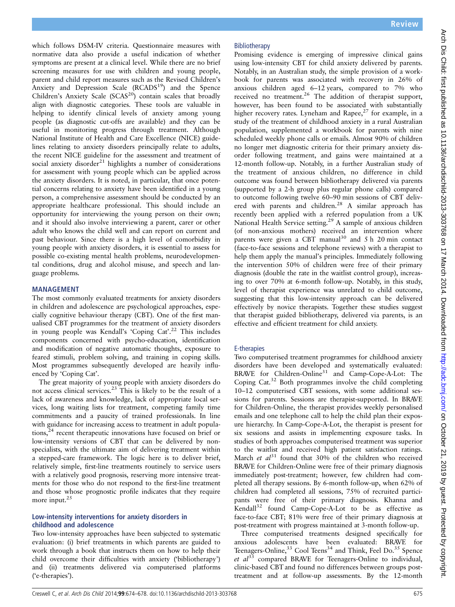**Bibliotherapy** 

Promising evidence is emerging of impressive clinical gains using low-intensity CBT for child anxiety delivered by parents. Notably, in an Australian study, the simple provision of a workbook for parents was associated with recovery in 26% of anxious children aged 6–12 years, compared to 7% who received no treatment.<sup>26</sup> The addition of therapist support, however, has been found to be associated with substantially higher recovery rates. Lyneham and Rapee,<sup>27</sup> for example, in a study of the treatment of childhood anxiety in a rural Australian population, supplemented a workbook for parents with nine scheduled weekly phone calls or emails. Almost 90% of children no longer met diagnostic criteria for their primary anxiety disorder following treatment, and gains were maintained at a 12-month follow-up. Notably, in a further Australian study of the treatment of anxious children, no difference in child outcome was found between bibliotherapy delivered via parents (supported by a 2-h group plus regular phone calls) compared to outcome following twelve 60–90 min sessions of CBT delivered with parents and children.<sup>28</sup> A similar approach has recently been applied with a referred population from a UK National Health Service setting.<sup>29</sup> A sample of anxious children (of non-anxious mothers) received an intervention where parents were given a CBT manual<sup>30</sup> and 5 h 20 min contact (face-to-face sessions and telephone reviews) with a therapist to help them apply the manual's principles. Immediately following the intervention 50% of children were free of their primary diagnosis (double the rate in the waitlist control group), increasing to over 70% at 6-month follow-up. Notably, in this study, level of therapist experience was unrelated to child outcome, suggesting that this low-intensity approach can be delivered effectively by novice therapists. Together these studies suggest that therapist guided bibliotherapy, delivered via parents, is an effective and efficient treatment for child anxiety.

# E-therapies

Two computerised treatment programmes for childhood anxiety disorders have been developed and systematically evaluated: BRAVE for Children-Online<sup>31</sup> and Camp-Cope-A-Lot: The Coping Cat.<sup>32</sup> Both programmes involve the child completing 10–12 computerised CBT sessions, with some additional sessions for parents. Sessions are therapist-supported. In BRAVE for Children-Online, the therapist provides weekly personalised emails and one telephone call to help the child plan their exposure hierarchy. In Camp-Cope-A-Lot, the therapist is present for six sessions and assists in implementing exposure tasks. In studies of both approaches computerised treatment was superior to the waitlist and received high patient satisfaction ratings. March et  $al^{31}$  found that 30% of the children who received BRAVE for Children-Online were free of their primary diagnosis immediately post-treatment; however, few children had completed all therapy sessions. By 6-month follow-up, when 62% of children had completed all sessions, 75% of recruited participants were free of their primary diagnosis. Khanna and Kendall<sup>32</sup> found Camp-Cope-A-Lot to be as effective as face-to-face CBT; 81% were free of their primary diagnosis at post-treatment with progress maintained at 3-month follow-up.

Three computerised treatments designed specifically for anxious adolescents have been evaluated: BRAVE for Teenagers-Online,<sup>33</sup> Cool Teens<sup>34</sup> and Think, Feel Do.<sup>35</sup> Spence et  $al^{33}$  compared BRAVE for Teenagers-Online to individual, clinic-based CBT and found no differences between groups posttreatment and at follow-up assessments. By the 12-month

which follows DSM-IV criteria. Questionnaire measures with normative data also provide a useful indication of whether symptoms are present at a clinical level. While there are no brief screening measures for use with children and young people, parent and child report measures such as the Revised Children's Anxiety and Depression Scale  $(RCADS<sup>19</sup>)$  and the Spence Children's Anxiety Scale (SCAS<sup>20</sup>) contain scales that broadly align with diagnostic categories. These tools are valuable in helping to identify clinical levels of anxiety among young people (as diagnostic cut-offs are available) and they can be useful in monitoring progress through treatment. Although National Institute of Health and Care Excellence (NICE) guidelines relating to anxiety disorders principally relate to adults, the recent NICE guideline for the assessment and treatment of social anxiety disorder $21$  highlights a number of considerations for assessment with young people which can be applied across the anxiety disorders. It is noted, in particular, that once potential concerns relating to anxiety have been identified in a young person, a comprehensive assessment should be conducted by an appropriate healthcare professional. This should include an opportunity for interviewing the young person on their own; and it should also involve interviewing a parent, carer or other adult who knows the child well and can report on current and past behaviour. Since there is a high level of comorbidity in young people with anxiety disorders, it is essential to assess for possible co-existing mental health problems, neurodevelopmental conditions, drug and alcohol misuse, and speech and language problems.

#### MANAGEMENT

The most commonly evaluated treatments for anxiety disorders in children and adolescence are psychological approaches, especially cognitive behaviour therapy (CBT). One of the first manualised CBT programmes for the treatment of anxiety disorders in young people was Kendall's 'Coping Cat'.<sup>22</sup> This includes components concerned with psycho-education, identification and modification of negative automatic thoughts, exposure to feared stimuli, problem solving, and training in coping skills. Most programmes subsequently developed are heavily influenced by 'Coping Cat'.

The great majority of young people with anxiety disorders do not access clinical services.<sup>23</sup> This is likely to be the result of a lack of awareness and knowledge, lack of appropriate local services, long waiting lists for treatment, competing family time commitments and a paucity of trained professionals. In line with guidance for increasing access to treatment in adult populations,<sup>24</sup> recent therapeutic innovations have focused on brief or low-intensity versions of CBT that can be delivered by nonspecialists, with the ultimate aim of delivering treatment within a stepped-care framework. The logic here is to deliver brief, relatively simple, first-line treatments routinely to service users with a relatively good prognosis, reserving more intensive treatments for those who do not respond to the first-line treatment and those whose prognostic profile indicates that they require more input. $25$ 

#### Low-intensity interventions for anxiety disorders in childhood and adolescence

Two low-intensity approaches have been subjected to systematic evaluation: (i) brief treatments in which parents are guided to work through a book that instructs them on how to help their child overcome their difficulties with anxiety ('bibliotherapy') and (ii) treatments delivered via computerised platforms ('e-therapies').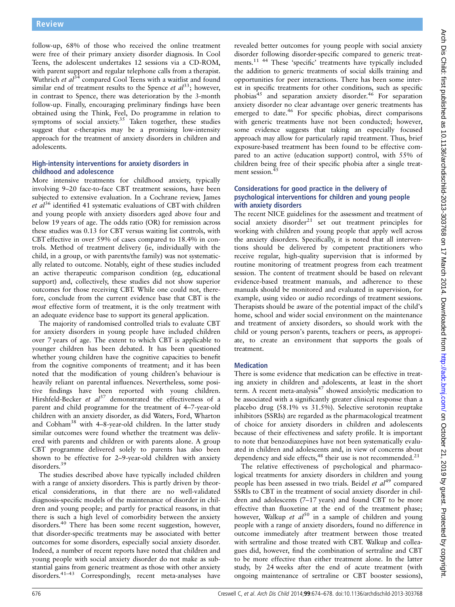follow-up, 68% of those who received the online treatment were free of their primary anxiety disorder diagnosis. In Cool Teens, the adolescent undertakes 12 sessions via a CD-ROM, with parent support and regular telephone calls from a therapist. Wuthrich et  $al^{34}$  compared Cool Teens with a waitlist and found similar end of treatment results to the Spence et  $al^{33}$ ; however, in contrast to Spence, there was deterioration by the 3-month follow-up. Finally, encouraging preliminary findings have been obtained using the Think, Feel, Do programme in relation to symptoms of social anxiety.<sup>35</sup> Taken together, these studies suggest that e-therapies may be a promising low-intensity approach for the treatment of anxiety disorders in children and adolescents.

## High-intensity interventions for anxiety disorders in childhood and adolescence

More intensive treatments for childhood anxiety, typically involving 9–20 face-to-face CBT treatment sessions, have been subjected to extensive evaluation. In a Cochrane review, James et  $al^{36}$  identified 41 systematic evaluations of CBT with children and young people with anxiety disorders aged above four and below 19 years of age. The odds ratio (OR) for remission across these studies was 0.13 for CBT versus waiting list controls, with CBT effective in over 59% of cases compared to 18.4% in controls. Method of treatment delivery (ie, individually with the child, in a group, or with parents/the family) was not systematically related to outcome. Notably, eight of these studies included an active therapeutic comparison condition (eg, educational support) and, collectively, these studies did not show superior outcomes for those receiving CBT. While one could not, therefore, conclude from the current evidence base that CBT is the most effective form of treatment, it is the only treatment with an adequate evidence base to support its general application.

The majority of randomised controlled trials to evaluate CBT for anxiety disorders in young people have included children over 7 years of age. The extent to which CBT is applicable to younger children has been debated. It has been questioned whether young children have the cognitive capacities to benefit from the cognitive components of treatment; and it has been noted that the modification of young children's behaviour is heavily reliant on parental influences. Nevertheless, some positive findings have been reported with young children. Hirshfeld-Becker et  $al^{37}$  demonstrated the effectiveness of a parent and child programme for the treatment of 4–7-year-old children with an anxiety disorder, as did Waters, Ford, Wharton and Cobham38 with 4–8-year-old children. In the latter study similar outcomes were found whether the treatment was delivered with parents and children or with parents alone. A group CBT programme delivered solely to parents has also been shown to be effective for 2–9-year-old children with anxiety disorders.<sup>39</sup>

The studies described above have typically included children with a range of anxiety disorders. This is partly driven by theoretical considerations, in that there are no well-validated diagnosis-specific models of the maintenance of disorder in children and young people; and partly for practical reasons, in that there is such a high level of comorbidity between the anxiety disorders.40 There has been some recent suggestion, however, that disorder-specific treatments may be associated with better outcomes for some disorders, especially social anxiety disorder. Indeed, a number of recent reports have noted that children and young people with social anxiety disorder do not make as substantial gains from generic treatment as those with other anxiety disorders.41–<sup>43</sup> Correspondingly, recent meta-analyses have

revealed better outcomes for young people with social anxiety disorder following disorder-specific compared to generic treatments.<sup>11 44</sup> These 'specific' treatments have typically included the addition to generic treatments of social skills training and opportunities for peer interactions. There has been some interest in specific treatments for other conditions, such as specific phobias<sup>45</sup> and separation anxiety disorder.<sup>46</sup> For separation anxiety disorder no clear advantage over generic treatments has emerged to date.<sup>46</sup> For specific phobias, direct comparisons with generic treatments have not been conducted; however, some evidence suggests that taking an especially focused approach may allow for particularly rapid treatment. Thus, brief exposure-based treatment has been found to be effective compared to an active (education support) control, with 55% of children being free of their specific phobia after a single treatment session.<sup>45</sup>

#### Considerations for good practice in the delivery of psychological interventions for children and young people with anxiety disorders

The recent NICE guidelines for the assessment and treatment of social anxiety disorder<sup>21</sup> set out treatment principles for working with children and young people that apply well across the anxiety disorders. Specifically, it is noted that all interventions should be delivered by competent practitioners who receive regular, high-quality supervision that is informed by routine monitoring of treatment progress from each treatment session. The content of treatment should be based on relevant evidence-based treatment manuals, and adherence to these manuals should be monitored and evaluated in supervision, for example, using video or audio recordings of treatment sessions. Therapists should be aware of the potential impact of the child's home, school and wider social environment on the maintenance and treatment of anxiety disorders, so should work with the child or young person's parents, teachers or peers, as appropriate, to create an environment that supports the goals of treatment.

# Medication

There is some evidence that medication can be effective in treating anxiety in children and adolescents, at least in the short term. A recent meta-analysis<sup>47</sup> showed anxiolytic medication to be associated with a significantly greater clinical response than a placebo drug (58.1% vs 31.5%). Selective serotonin reuptake inhibitors (SSRIs) are regarded as the pharmacological treatment of choice for anxiety disorders in children and adolescents because of their effectiveness and safety profile. It is important to note that benzodiazepines have not been systematically evaluated in children and adolescents and, in view of concerns about dependency and side effects,<sup>48</sup> their use is not recommended.<sup>21</sup>

The relative effectiveness of psychological and pharmacological treatments for anxiety disorders in children and young people has been assessed in two trials. Beidel et  $al^{49}$  compared SSRIs to CBT in the treatment of social anxiety disorder in children and adolescents (7–17 years) and found CBT to be more effective than fluoxetine at the end of the treatment phase; however, Walkup et  $al^{50}$  in a sample of children and young people with a range of anxiety disorders, found no difference in outcome immediately after treatment between those treated with sertraline and those treated with CBT. Walkup and colleagues did, however, find the combination of sertraline and CBT to be more effective than either treatment alone. In the latter study, by 24 weeks after the end of acute treatment (with ongoing maintenance of sertraline or CBT booster sessions),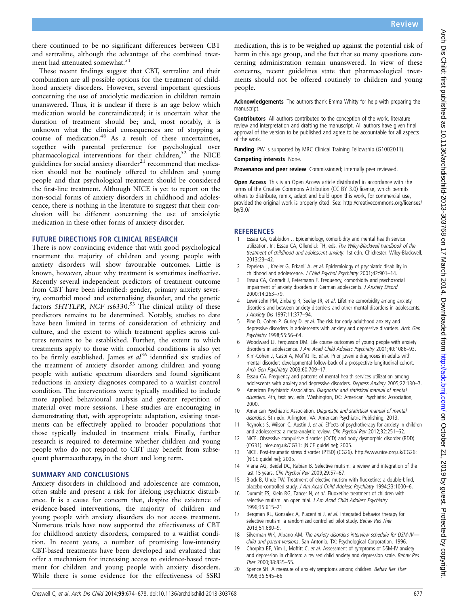there continued to be no significant differences between CBT and sertraline, although the advantage of the combined treatment had attenuated somewhat.<sup>51</sup>

These recent findings suggest that CBT, sertraline and their combination are all possible options for the treatment of childhood anxiety disorders. However, several important questions concerning the use of anxiolytic medication in children remain unanswered. Thus, it is unclear if there is an age below which medication would be contraindicated; it is uncertain what the duration of treatment should be; and, most notably, it is unknown what the clinical consequences are of stopping a course of medication.48 As a result of these uncertainties, together with parental preference for psychological over pharmacological interventions for their children,<sup>52</sup> the NICE guidelines for social anxiety disorder $21$  recommend that medication should not be routinely offered to children and young people and that psychological treatment should be considered the first-line treatment. Although NICE is yet to report on the non-social forms of anxiety disorders in childhood and adolescence, there is nothing in the literature to suggest that their conclusion will be different concerning the use of anxiolytic medication in these other forms of anxiety disorder.

#### FUTURE DIRECTIONS FOR CLINICAL RESEARCH

There is now convincing evidence that with good psychological treatment the majority of children and young people with anxiety disorders will show favourable outcomes. Little is known, however, about why treatment is sometimes ineffective. Recently several independent predictors of treatment outcome from CBT have been identified: gender, primary anxiety severity, comorbid mood and externalising disorder, and the genetic factors 5HTTLPR, NGF rs6330.<sup>53</sup> The clinical utility of these predictors remains to be determined. Notably, studies to date have been limited in terms of consideration of ethnicity and culture, and the extent to which treatment applies across cultures remains to be established. Further, the extent to which treatments apply to those with comorbid conditions is also yet to be firmly established. James et  $al^{36}$  identified six studies of the treatment of anxiety disorder among children and young people with autistic spectrum disorders and found significant reductions in anxiety diagnoses compared to a waitlist control condition. The interventions were typically modified to include more applied behavioural analysis and greater repetition of material over more sessions. These studies are encouraging in demonstrating that, with appropriate adaptation, existing treatments can be effectively applied to broader populations that those typically included in treatment trials. Finally, further research is required to determine whether children and young people who do not respond to CBT may benefit from subsequent pharmacotherapy, in the short and long term.

#### SUMMARY AND CONCLUSIONS

Anxiety disorders in childhood and adolescence are common, often stable and present a risk for lifelong psychiatric disturbance. It is a cause for concern that, despite the existence of evidence-based interventions, the majority of children and young people with anxiety disorders do not access treatment. Numerous trials have now supported the effectiveness of CBT for childhood anxiety disorders, compared to a waitlist condition. In recent years, a number of promising low-intensity CBT-based treatments have been developed and evaluated that offer a mechanism for increasing access to evidence-based treatment for children and young people with anxiety disorders. While there is some evidence for the effectiveness of SSRI

medication, this is to be weighed up against the potential risk of harm in this age group, and the fact that so many questions concerning administration remain unanswered. In view of these concerns, recent guidelines state that pharmacological treatments should not be offered routinely to children and young people.

Acknowledgements The authors thank Emma Whitty for help with preparing the manuscript.

Contributors All authors contributed to the conception of the work, literature review and interpretation and drafting the manuscript. All authors have given final approval of the version to be published and agree to be accountable for all aspects of the work.

Funding PW is supported by MRC Clinical Training Fellowship (G1002011).

Competing interests None.

Provenance and peer review Commissioned; internally peer reviewed.

Open Access This is an Open Access article distributed in accordance with the terms of the Creative Commons Attribution (CC BY 3.0) license, which permits others to distribute, remix, adapt and build upon this work, for commercial use, provided the original work is properly cited. See: [http://creativecommons.org/licenses/](http://creativecommons.org/licenses/by/3.0/) [by/3.0/](http://creativecommons.org/licenses/by/3.0/)

#### **REFERENCES**

- 1 Essau CA, Gabbidon J. Epidemiology, comorbidity and mental health service utilization. In: Essau CA, Ollendick TH, eds. The Wiley-Blackwell handbook of the treatment of childhood and adolescent anxiety. 1st edn. Chichester: Wiley-Blackwell, 2013:23–42.
- 2 Ezpeleta L, Keeler G, Erkanli A, et al. Epidemiology of psychiatric disability in childhood and adolescence. J Child Psychol Psychiatry 2001;42:901-14.
- 3 Essau CA, Conradt J, Petermann F. Frequency, comorbidity and psychosocial impairment of anxiety disorders in German adolescents. J Anxiety Disord 2000;14:263–79.
- 4 Lewinsohn PM, Zinbarg R, Seeley JR, et al. Lifetime comorbidity among anxiety disorders and between anxiety disorders and other mental disorders in adolescents. J Anxiety Dis 1997;11:377–94.
- 5 Pine D, Cohen P, Gurley D, et al. The risk for early adulthood anxiety and depressive disorders in adolescents with anxiety and depressive disorders. Arch Gen Psychiatry 1998;55:56–64.
- Woodward LJ, Fergusson DM. Life course outcomes of young people with anxiety disorders in adolescence. J Am Acad Child Adolesc Psychiatry 2001;40:1086–93.
- 7 Kim-Cohen J, Caspi A, Moffitt TE, et al. Prior juvenile diagnoses in adults with mental disorder: developmental follow-back of a prospective-longitudinal cohort. Arch Gen Psychiatry 2003;60:709–17.
- Essau CA. Frequency and patterns of mental health services utilization among adolescents with anxiety and depressive disorders. Depress Anxiety 2005;22:130–7.
- 9 American Psychiatric Association. Diagnostic and statistical manual of mental disorders. 4th, text rev, edn. Washington, DC: American Psychiatric Association, 2000.
- 10 American Psychiatric Association. Diagnostic and statistical manual of mental disorders. 5th edn. Arlington, VA: American Psychiatric Publishing, 2013.
- 11 Reynolds S, Wilson C, Austin J, et al. Effects of psychotherapy for anxiety in children and adolescents: a meta-analytic review. Clin Psychol Rev 2012;32:251–62.
- 12 NICE. Obsessive compulsive disorder (OCD) and body dysmorphic disorder (BDD) (CG31). [nice.org.uk/CG31:](nice.org.uk/CG31) [NICE guideline]; 2005.
- 13 NICE. Post-traumatic stress disorder (PTSD) (CG26).<http://www.nice.org.uk/CG26>: [NICE guideline]; 2005.
- 14 Viana AG, Beidel DC, Rabian B. Selective mutism: a review and integration of the last 15 years. Clin Psychol Rev 2009;29:57-67.
- 15 Black B, Uhde TW. Treatment of elective mutism with fluoxetine: a double-blind, placebo-controlled study. J Am Acad Child Adolesc Psychiatry 1994;33:1000-6.
- 16 Dummit ES, Klein RG, Tancer N, et al. Fluoxetine treatment of children with selective mutism: an open trial. J Am Acad Child Adolesc Psychiatry 1996;35:615–21.
- 17 Bergman RL, Gonzalez A, Piacentini J, et al. Integrated behavior therapy for selective mutism: a randomized controlled pilot study. Behav Res Ther 2013;51:680–9.
- 18 Silverman WK, Albano AM. The anxiety disorders interview schedule for DSM-IVchild and parent versions. San Antonio, TX: Psychological Corporation, 1996.
- 19 Chorpita BF, Yim L, Moffitt C, et al. Assessment of symptoms of DSM-IV anxiety and depression in children: a revised child anxiety and depression scale. Behav Res Ther 2000;38:835–55.
- 20 Spence SH. A measure of anxiety symptoms among children. Behav Res Ther 1998;36:545–66.

Arch Dis Child: first published as 10.1136/archdischild-2013-303768 on 17 March 2014. Downloaded from http://adc.bmj.com/ on October 21, 2019 by guest. Protected by copyright Arch Dis Child: first published as 10.1136/archdisch13-2013-303768 on 17 March 2014. Downloaded from Dis Child: first published as 10.1136/archdischild-2013-303768 on 17 March 2014. Downloaded from Lothor 2013-00-21, 2019